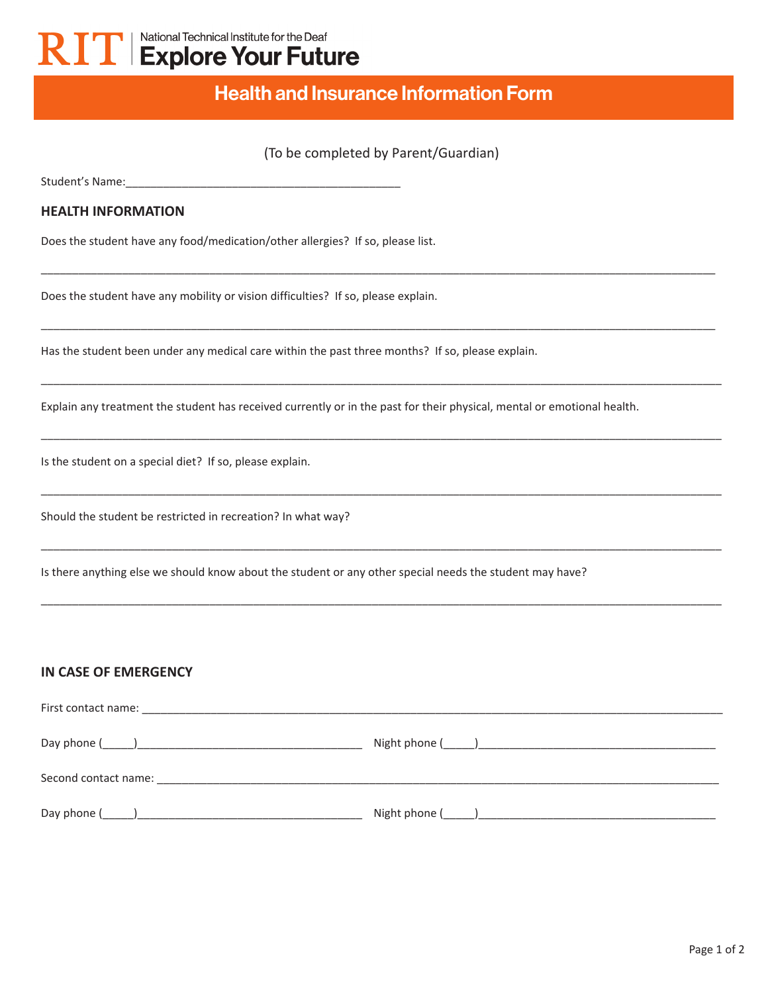# National Technical Institute for the Deaf **KII** Explore Your Future

# Health and Insurance Information Form

## (To be completed by Parent/Guardian)

\_\_\_\_\_\_\_\_\_\_\_\_\_\_\_\_\_\_\_\_\_\_\_\_\_\_\_\_\_\_\_\_\_\_\_\_\_\_\_\_\_\_\_\_\_\_\_\_\_\_\_\_\_\_\_\_\_\_\_\_\_\_\_\_\_\_\_\_\_\_\_\_\_\_\_\_\_\_\_\_\_\_\_\_\_\_\_\_\_\_\_\_\_\_\_\_\_\_\_\_\_\_\_\_\_\_\_\_

\_\_\_\_\_\_\_\_\_\_\_\_\_\_\_\_\_\_\_\_\_\_\_\_\_\_\_\_\_\_\_\_\_\_\_\_\_\_\_\_\_\_\_\_\_\_\_\_\_\_\_\_\_\_\_\_\_\_\_\_\_\_\_\_\_\_\_\_\_\_\_\_\_\_\_\_\_\_\_\_\_\_\_\_\_\_\_\_\_\_\_\_\_\_\_\_\_\_\_\_\_\_\_\_\_\_\_\_

\_\_\_\_\_\_\_\_\_\_\_\_\_\_\_\_\_\_\_\_\_\_\_\_\_\_\_\_\_\_\_\_\_\_\_\_\_\_\_\_\_\_\_\_\_\_\_\_\_\_\_\_\_\_\_\_\_\_\_\_\_\_\_\_\_\_\_\_\_\_\_\_\_\_\_\_\_\_\_\_\_\_\_\_\_\_\_\_\_\_\_\_\_\_\_\_\_\_\_\_\_\_\_\_\_\_\_\_\_

\_\_\_\_\_\_\_\_\_\_\_\_\_\_\_\_\_\_\_\_\_\_\_\_\_\_\_\_\_\_\_\_\_\_\_\_\_\_\_\_\_\_\_\_\_\_\_\_\_\_\_\_\_\_\_\_\_\_\_\_\_\_\_\_\_\_\_\_\_\_\_\_\_\_\_\_\_\_\_\_\_\_\_\_\_\_\_\_\_\_\_\_\_\_\_\_\_\_\_\_\_\_\_\_\_\_\_\_\_

\_\_\_\_\_\_\_\_\_\_\_\_\_\_\_\_\_\_\_\_\_\_\_\_\_\_\_\_\_\_\_\_\_\_\_\_\_\_\_\_\_\_\_\_\_\_\_\_\_\_\_\_\_\_\_\_\_\_\_\_\_\_\_\_\_\_\_\_\_\_\_\_\_\_\_\_\_\_\_\_\_\_\_\_\_\_\_\_\_\_\_\_\_\_\_\_\_\_\_\_\_\_\_\_\_\_\_\_\_

\_\_\_\_\_\_\_\_\_\_\_\_\_\_\_\_\_\_\_\_\_\_\_\_\_\_\_\_\_\_\_\_\_\_\_\_\_\_\_\_\_\_\_\_\_\_\_\_\_\_\_\_\_\_\_\_\_\_\_\_\_\_\_\_\_\_\_\_\_\_\_\_\_\_\_\_\_\_\_\_\_\_\_\_\_\_\_\_\_\_\_\_\_\_\_\_\_\_\_\_\_\_\_\_\_\_\_\_\_

\_\_\_\_\_\_\_\_\_\_\_\_\_\_\_\_\_\_\_\_\_\_\_\_\_\_\_\_\_\_\_\_\_\_\_\_\_\_\_\_\_\_\_\_\_\_\_\_\_\_\_\_\_\_\_\_\_\_\_\_\_\_\_\_\_\_\_\_\_\_\_\_\_\_\_\_\_\_\_\_\_\_\_\_\_\_\_\_\_\_\_\_\_\_\_\_\_\_\_\_\_\_\_\_\_\_\_\_\_

Student's Name:

#### **HEALTH INFORMATION**

Does the student have any food/medication/other allergies? If so, please list.

Does the student have any mobility or vision difficulties? If so, please explain.

Has the student been under any medical care within the past three months? If so, please explain.

Explain any treatment the student has received currently or in the past for their physical, mental or emotional health.

Is the student on a special diet? If so, please explain.

Should the student be restricted in recreation? In what way?

Is there anything else we should know about the student or any other special needs the student may have?

#### **IN CASE OF EMERGENCY**

| Day phone $($ $)$                                                                                                                                                                                                              |                                                                                                                                                                                                                                |
|--------------------------------------------------------------------------------------------------------------------------------------------------------------------------------------------------------------------------------|--------------------------------------------------------------------------------------------------------------------------------------------------------------------------------------------------------------------------------|
| Second contact name: The contract of the contract of the contract of the contract of the contract of the contract of the contract of the contract of the contract of the contract of the contract of the contract of the contr |                                                                                                                                                                                                                                |
|                                                                                                                                                                                                                                | Night phone ( ) and a set of the set of the set of the set of the set of the set of the set of the set of the set of the set of the set of the set of the set of the set of the set of the set of the set of the set of the se |